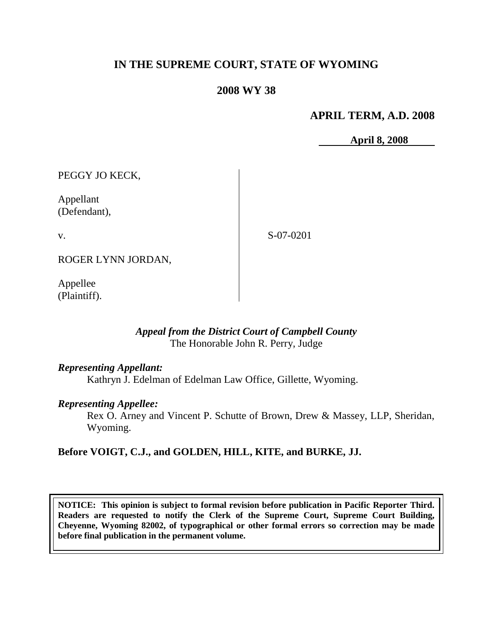# **IN THE SUPREME COURT, STATE OF WYOMING**

## **2008 WY 38**

## **APRIL TERM, A.D. 2008**

**April 8, 2008**

PEGGY JO KECK,

Appellant (Defendant),

v.

S-07-0201

ROGER LYNN JORDAN,

Appellee (Plaintiff).

### *Appeal from the District Court of Campbell County* The Honorable John R. Perry, Judge

### *Representing Appellant:*

Kathryn J. Edelman of Edelman Law Office, Gillette, Wyoming.

### *Representing Appellee:*

Rex O. Arney and Vincent P. Schutte of Brown, Drew & Massey, LLP, Sheridan, Wyoming.

## **Before VOIGT, C.J., and GOLDEN, HILL, KITE, and BURKE, JJ.**

**NOTICE: This opinion is subject to formal revision before publication in Pacific Reporter Third. Readers are requested to notify the Clerk of the Supreme Court, Supreme Court Building, Cheyenne, Wyoming 82002, of typographical or other formal errors so correction may be made before final publication in the permanent volume.**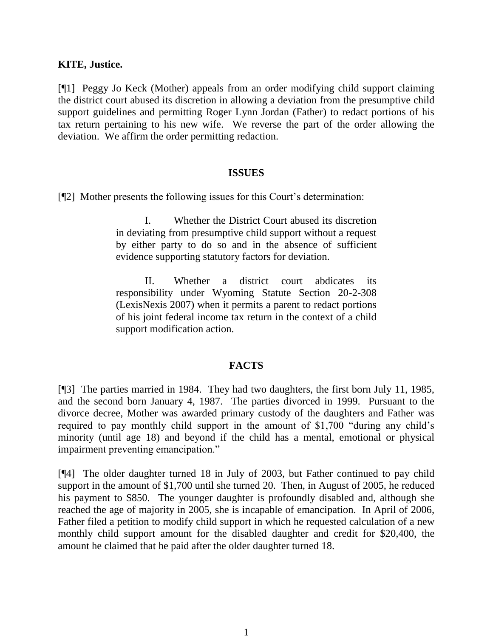#### **KITE, Justice.**

[¶1] Peggy Jo Keck (Mother) appeals from an order modifying child support claiming the district court abused its discretion in allowing a deviation from the presumptive child support guidelines and permitting Roger Lynn Jordan (Father) to redact portions of his tax return pertaining to his new wife. We reverse the part of the order allowing the deviation. We affirm the order permitting redaction.

#### **ISSUES**

[¶2] Mother presents the following issues for this Court's determination:

I. Whether the District Court abused its discretion in deviating from presumptive child support without a request by either party to do so and in the absence of sufficient evidence supporting statutory factors for deviation.

II. Whether a district court abdicates its responsibility under Wyoming Statute Section 20-2-308 (LexisNexis 2007) when it permits a parent to redact portions of his joint federal income tax return in the context of a child support modification action.

#### **FACTS**

[¶3] The parties married in 1984. They had two daughters, the first born July 11, 1985, and the second born January 4, 1987. The parties divorced in 1999. Pursuant to the divorce decree, Mother was awarded primary custody of the daughters and Father was required to pay monthly child support in the amount of \$1,700 "during any child's minority (until age 18) and beyond if the child has a mental, emotional or physical impairment preventing emancipation."

[¶4] The older daughter turned 18 in July of 2003, but Father continued to pay child support in the amount of \$1,700 until she turned 20. Then, in August of 2005, he reduced his payment to \$850. The younger daughter is profoundly disabled and, although she reached the age of majority in 2005, she is incapable of emancipation. In April of 2006, Father filed a petition to modify child support in which he requested calculation of a new monthly child support amount for the disabled daughter and credit for \$20,400, the amount he claimed that he paid after the older daughter turned 18.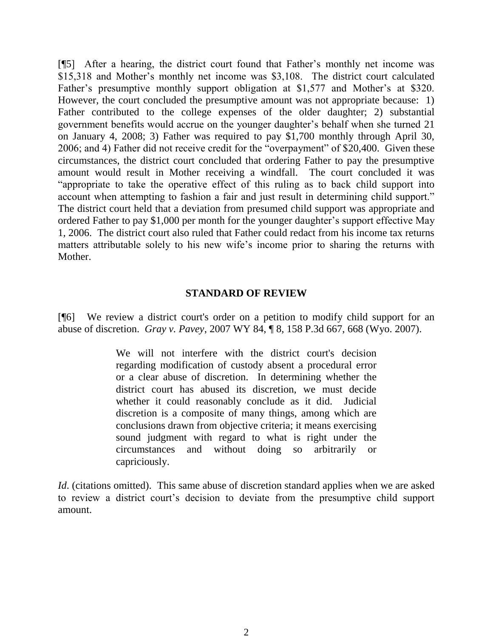[¶5] After a hearing, the district court found that Father's monthly net income was \$15,318 and Mother's monthly net income was \$3,108. The district court calculated Father's presumptive monthly support obligation at \$1,577 and Mother's at \$320. However, the court concluded the presumptive amount was not appropriate because: 1) Father contributed to the college expenses of the older daughter; 2) substantial government benefits would accrue on the younger daughter's behalf when she turned 21 on January 4, 2008; 3) Father was required to pay \$1,700 monthly through April 30, 2006; and 4) Father did not receive credit for the "overpayment" of \$20,400. Given these circumstances, the district court concluded that ordering Father to pay the presumptive amount would result in Mother receiving a windfall. The court concluded it was "appropriate to take the operative effect of this ruling as to back child support into account when attempting to fashion a fair and just result in determining child support." The district court held that a deviation from presumed child support was appropriate and ordered Father to pay \$1,000 per month for the younger daughter's support effective May 1, 2006. The district court also ruled that Father could redact from his income tax returns matters attributable solely to his new wife's income prior to sharing the returns with Mother.

#### **STANDARD OF REVIEW**

[¶6] We review a district court's order on a petition to modify child support for an abuse of discretion. *Gray v. Pavey*, 2007 WY 84, ¶ 8, 158 P.3d 667, 668 (Wyo. 2007).

> We will not interfere with the district court's decision regarding modification of custody absent a procedural error or a clear abuse of discretion. In determining whether the district court has abused its discretion, we must decide whether it could reasonably conclude as it did. Judicial discretion is a composite of many things, among which are conclusions drawn from objective criteria; it means exercising sound judgment with regard to what is right under the circumstances and without doing so arbitrarily or capriciously.

*Id.* (citations omitted). This same abuse of discretion standard applies when we are asked to review a district court's decision to deviate from the presumptive child support amount.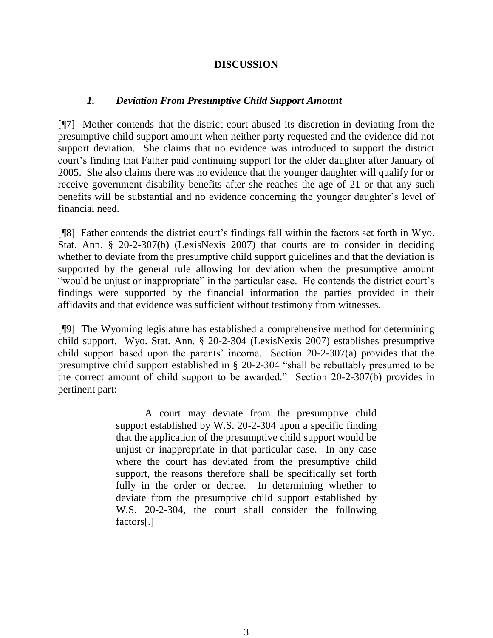## **DISCUSSION**

### *1. Deviation From Presumptive Child Support Amount*

[¶7] Mother contends that the district court abused its discretion in deviating from the presumptive child support amount when neither party requested and the evidence did not support deviation. She claims that no evidence was introduced to support the district court's finding that Father paid continuing support for the older daughter after January of 2005. She also claims there was no evidence that the younger daughter will qualify for or receive government disability benefits after she reaches the age of 21 or that any such benefits will be substantial and no evidence concerning the younger daughter's level of financial need.

[¶8] Father contends the district court's findings fall within the factors set forth in Wyo. Stat. Ann. § 20-2-307(b) (LexisNexis 2007) that courts are to consider in deciding whether to deviate from the presumptive child support guidelines and that the deviation is supported by the general rule allowing for deviation when the presumptive amount "would be unjust or inappropriate" in the particular case. He contends the district court's findings were supported by the financial information the parties provided in their affidavits and that evidence was sufficient without testimony from witnesses.

[¶9] The Wyoming legislature has established a comprehensive method for determining child support. Wyo. Stat. Ann. § 20-2-304 (LexisNexis 2007) establishes presumptive child support based upon the parents' income. Section 20-2-307(a) provides that the presumptive child support established in § 20-2-304 "shall be rebuttably presumed to be the correct amount of child support to be awarded." Section 20-2-307(b) provides in pertinent part:

> A court may deviate from the presumptive child support established by W.S. 20-2-304 upon a specific finding that the application of the presumptive child support would be unjust or inappropriate in that particular case. In any case where the court has deviated from the presumptive child support, the reasons therefore shall be specifically set forth fully in the order or decree. In determining whether to deviate from the presumptive child support established by W.S. 20-2-304, the court shall consider the following factors[.]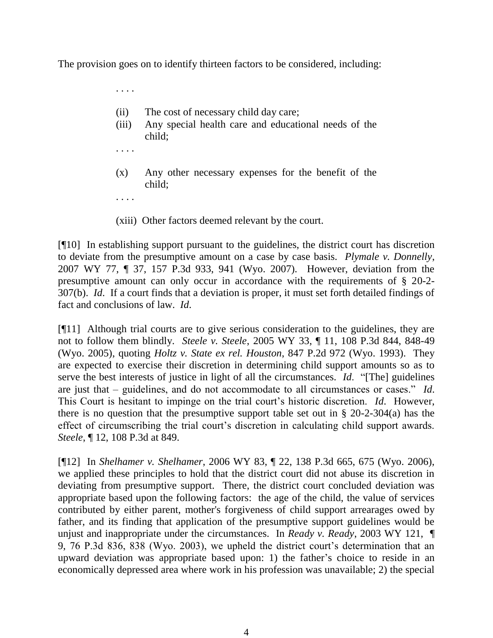The provision goes on to identify thirteen factors to be considered, including:

. . . .

- (ii) The cost of necessary child day care;
- (iii) Any special health care and educational needs of the child;

. . . .

- (x) Any other necessary expenses for the benefit of the child;
- . . . .
- (xiii) Other factors deemed relevant by the court.

[¶10] In establishing support pursuant to the guidelines, the district court has discretion to deviate from the presumptive amount on a case by case basis. *Plymale v. Donnelly*, 2007 WY 77, ¶ 37, 157 P.3d 933, 941 (Wyo. 2007). However, deviation from the presumptive amount can only occur in accordance with the requirements of § 20-2- 307(b). *Id*. If a court finds that a deviation is proper, it must set forth detailed findings of fact and conclusions of law. *Id*.

[¶11] Although trial courts are to give serious consideration to the guidelines, they are not to follow them blindly. *Steele v. Steele*, 2005 WY 33, ¶ 11, 108 P.3d 844, 848-49 (Wyo. 2005), quoting *Holtz v. State ex rel. Houston*, 847 P.2d 972 (Wyo. 1993). They are expected to exercise their discretion in determining child support amounts so as to serve the best interests of justice in light of all the circumstances. *Id*. "[The] guidelines are just that – guidelines, and do not accommodate to all circumstances or cases." *Id*. This Court is hesitant to impinge on the trial court's historic discretion. *Id*. However, there is no question that the presumptive support table set out in  $\S$  20-2-304(a) has the effect of circumscribing the trial court's discretion in calculating child support awards. *Steele*, ¶ 12, 108 P.3d at 849.

[¶12] In *Shelhamer v. Shelhamer*, 2006 WY 83, ¶ 22, 138 P.3d 665, 675 (Wyo. 2006), we applied these principles to hold that the district court did not abuse its discretion in deviating from presumptive support. There, the district court concluded deviation was appropriate based upon the following factors: the age of the child, the value of services contributed by either parent, mother's forgiveness of child support arrearages owed by father, and its finding that application of the presumptive support guidelines would be unjust and inappropriate under the circumstances. In *Ready v. Ready*, 2003 WY 121, ¶ 9, 76 P.3d 836, 838 (Wyo. 2003), we upheld the district court's determination that an upward deviation was appropriate based upon: 1) the father's choice to reside in an economically depressed area where work in his profession was unavailable; 2) the special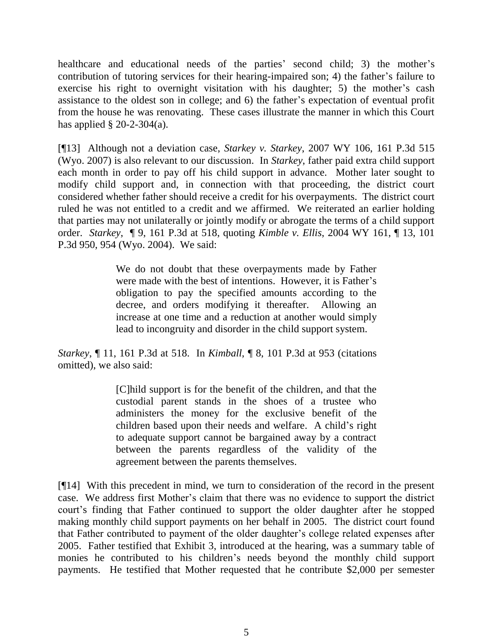healthcare and educational needs of the parties' second child; 3) the mother's contribution of tutoring services for their hearing-impaired son; 4) the father's failure to exercise his right to overnight visitation with his daughter; 5) the mother's cash assistance to the oldest son in college; and 6) the father's expectation of eventual profit from the house he was renovating. These cases illustrate the manner in which this Court has applied  $\S 20-2-304(a)$ .

[¶13] Although not a deviation case, *Starkey v. Starkey*, 2007 WY 106, 161 P.3d 515 (Wyo. 2007) is also relevant to our discussion. In *Starkey*, father paid extra child support each month in order to pay off his child support in advance. Mother later sought to modify child support and, in connection with that proceeding, the district court considered whether father should receive a credit for his overpayments. The district court ruled he was not entitled to a credit and we affirmed. We reiterated an earlier holding that parties may not unilaterally or jointly modify or abrogate the terms of a child support order. *Starkey*, ¶ 9, 161 P.3d at 518, quoting *Kimble v. Ellis*, 2004 WY 161, ¶ 13, 101 P.3d 950, 954 (Wyo. 2004). We said:

> We do not doubt that these overpayments made by Father were made with the best of intentions. However, it is Father's obligation to pay the specified amounts according to the decree, and orders modifying it thereafter. Allowing an increase at one time and a reduction at another would simply lead to incongruity and disorder in the child support system.

*Starkey*, ¶ 11, 161 P.3d at 518. In *Kimball*, ¶ 8, 101 P.3d at 953 (citations omitted), we also said:

> [C]hild support is for the benefit of the children, and that the custodial parent stands in the shoes of a trustee who administers the money for the exclusive benefit of the children based upon their needs and welfare. A child's right to adequate support cannot be bargained away by a contract between the parents regardless of the validity of the agreement between the parents themselves.

[¶14] With this precedent in mind, we turn to consideration of the record in the present case. We address first Mother's claim that there was no evidence to support the district court's finding that Father continued to support the older daughter after he stopped making monthly child support payments on her behalf in 2005. The district court found that Father contributed to payment of the older daughter's college related expenses after 2005. Father testified that Exhibit 3, introduced at the hearing, was a summary table of monies he contributed to his children's needs beyond the monthly child support payments. He testified that Mother requested that he contribute \$2,000 per semester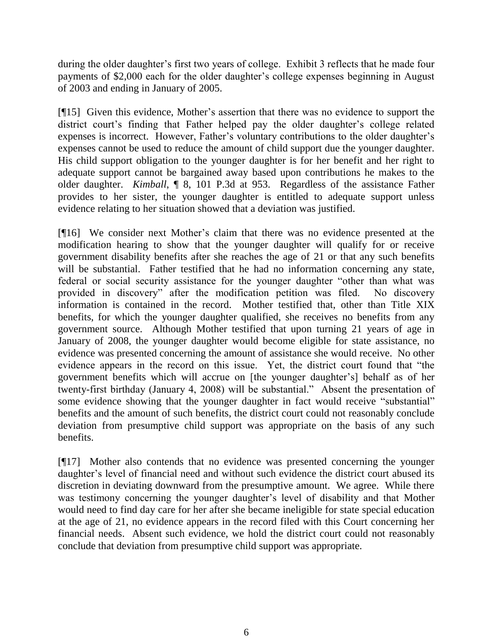during the older daughter's first two years of college. Exhibit 3 reflects that he made four payments of \$2,000 each for the older daughter's college expenses beginning in August of 2003 and ending in January of 2005.

[¶15] Given this evidence, Mother's assertion that there was no evidence to support the district court's finding that Father helped pay the older daughter's college related expenses is incorrect. However, Father's voluntary contributions to the older daughter's expenses cannot be used to reduce the amount of child support due the younger daughter. His child support obligation to the younger daughter is for her benefit and her right to adequate support cannot be bargained away based upon contributions he makes to the older daughter. *Kimball*, ¶ 8, 101 P.3d at 953. Regardless of the assistance Father provides to her sister, the younger daughter is entitled to adequate support unless evidence relating to her situation showed that a deviation was justified.

[¶16] We consider next Mother's claim that there was no evidence presented at the modification hearing to show that the younger daughter will qualify for or receive government disability benefits after she reaches the age of 21 or that any such benefits will be substantial. Father testified that he had no information concerning any state, federal or social security assistance for the younger daughter "other than what was provided in discovery" after the modification petition was filed. No discovery information is contained in the record. Mother testified that, other than Title XIX benefits, for which the younger daughter qualified, she receives no benefits from any government source. Although Mother testified that upon turning 21 years of age in January of 2008, the younger daughter would become eligible for state assistance, no evidence was presented concerning the amount of assistance she would receive. No other evidence appears in the record on this issue. Yet, the district court found that "the government benefits which will accrue on [the younger daughter's] behalf as of her twenty-first birthday (January 4, 2008) will be substantial." Absent the presentation of some evidence showing that the younger daughter in fact would receive "substantial" benefits and the amount of such benefits, the district court could not reasonably conclude deviation from presumptive child support was appropriate on the basis of any such benefits.

[¶17] Mother also contends that no evidence was presented concerning the younger daughter's level of financial need and without such evidence the district court abused its discretion in deviating downward from the presumptive amount. We agree. While there was testimony concerning the younger daughter's level of disability and that Mother would need to find day care for her after she became ineligible for state special education at the age of 21, no evidence appears in the record filed with this Court concerning her financial needs. Absent such evidence, we hold the district court could not reasonably conclude that deviation from presumptive child support was appropriate.